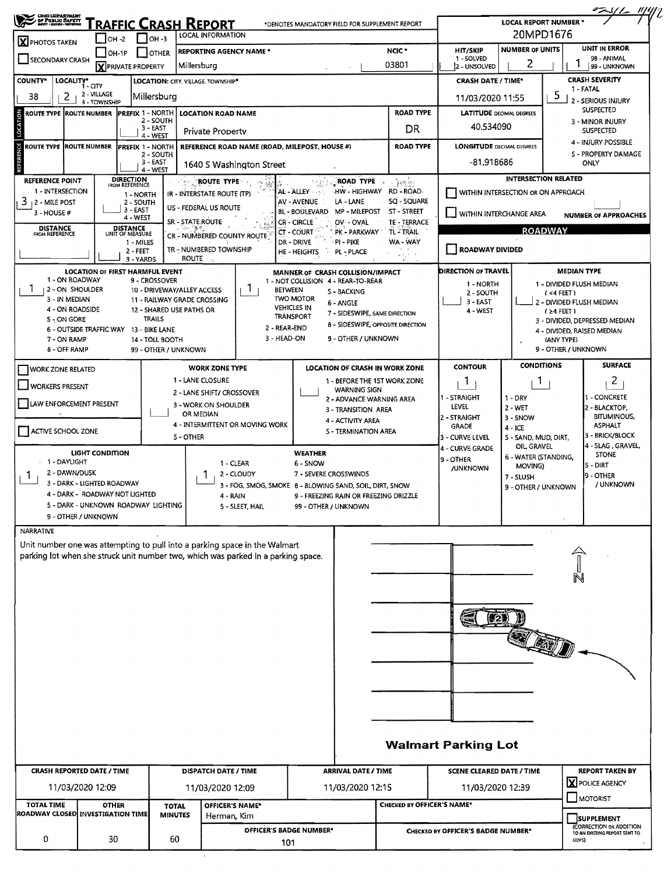|                                                                               |                                                                                                                     |                                                              |                                                           |                  |                                                                                                                                                                 |                             |                                                                                                  |                                                            |                                    |                                    |                                    |                                        | $\frac{224}{2}$                                    |  |  |
|-------------------------------------------------------------------------------|---------------------------------------------------------------------------------------------------------------------|--------------------------------------------------------------|-----------------------------------------------------------|------------------|-----------------------------------------------------------------------------------------------------------------------------------------------------------------|-----------------------------|--------------------------------------------------------------------------------------------------|------------------------------------------------------------|------------------------------------|------------------------------------|------------------------------------|----------------------------------------|----------------------------------------------------|--|--|
|                                                                               | ONO LEPARTNUM<br><b>FRAFFIC CRASH REPORT</b><br>*DENOTES MANDATORY FIELD FOR SUPPLEMENT REPORT<br>LOCAL INFORMATION |                                                              |                                                           |                  |                                                                                                                                                                 |                             |                                                                                                  |                                                            |                                    |                                    | LOCAL REPORT NUMBER *<br>20MPD1676 |                                        |                                                    |  |  |
| $1$ OH -3<br>$\overline{\phantom{0}}$ OH -2<br><b>X</b> PHOTOS TAKEN<br>OH-1P |                                                                                                                     |                                                              |                                                           |                  | <b>REPORTING AGENCY NAME*</b>                                                                                                                                   |                             |                                                                                                  | UNIT IN ERROR<br><b>NUMBER OF UNITS</b><br><b>HIT/SKIP</b> |                                    |                                    |                                    |                                        |                                                    |  |  |
| <b>OTHER</b><br><b>SECONDARY CRASH</b><br><b>X</b> PRIVATE PROPERTY           |                                                                                                                     |                                                              |                                                           |                  | Millersburg                                                                                                                                                     |                             |                                                                                                  | 1 - SOLVED<br>2 - UNSOLVED                                 | 98 - ANIMAL<br>2<br>99 - UNKNOWN   |                                    |                                    |                                        |                                                    |  |  |
| <b>COUNTY*</b>                                                                | LOCALITY* CITY                                                                                                      | <b>LOCATION: CITY, VILLAGE, TOWNSHIP*</b>                    |                                                           |                  |                                                                                                                                                                 |                             |                                                                                                  |                                                            | <b>CRASH DATE / TIME*</b>          |                                    |                                    | <b>CRASH SEVERITY</b><br>1 - FATAL     |                                                    |  |  |
| 38                                                                            | 2                                                                                                                   | 2 - VILLAGE<br>3 - TOWNSHIP                                  | Millersburg                                               |                  |                                                                                                                                                                 |                             |                                                                                                  |                                                            |                                    | 11/03/2020 11:55                   |                                    | 5                                      | 2 - SERIOUS INJURY                                 |  |  |
| ROUTE TYPE ROUTE NUMBER                                                       |                                                                                                                     |                                                              | <b>PREFIX 1 - NORTH</b><br>2 - SOUTH                      |                  | <b>LOCATION ROAD NAME</b>                                                                                                                                       |                             |                                                                                                  | <b>ROAD TYPE</b>                                           | <b>LATITUDE</b> DECIMAL DEGREES    |                                    |                                    | SUSPECTED                              |                                                    |  |  |
|                                                                               |                                                                                                                     |                                                              | 3 - EAST<br>4 - WEST                                      |                  | <b>Private Property</b>                                                                                                                                         |                             |                                                                                                  |                                                            | DR                                 | 40.534090                          |                                    |                                        | 3 - MINOR INJURY<br><b>SUSPECTED</b>               |  |  |
| ROUTE TYPE ROUTE NUMBER                                                       |                                                                                                                     |                                                              | PREFIX 1 - NORTH                                          |                  |                                                                                                                                                                 |                             | <b>ROAD TYPE</b><br>REFERENCE ROAD NAME (ROAD, MILEPOST, HOUSE #)                                |                                                            |                                    | <b>LONGITUDE DECIMAL DEGREES</b>   |                                    |                                        | 4 - INJURY POSSIBLE                                |  |  |
| <b>REFERENCE</b><br>2 - SOUTH<br>3 - EAST                                     |                                                                                                                     |                                                              |                                                           |                  | 1640 S Washington Street                                                                                                                                        |                             |                                                                                                  |                                                            |                                    | -81.918686                         |                                    |                                        | S - PROPERTY DAMAGE<br>ONLY                        |  |  |
| REFERENCE POINT                                                               |                                                                                                                     |                                                              | 4 - WEST<br><b>DIRECTION</b><br>FROM REFERENCE            |                  | <b>ROUTE TYPE</b>                                                                                                                                               |                             |                                                                                                  | ROAD TYPE                                                  | ့ နဲ့ၾကားဖြင့                      |                                    | <b>INTERSECTION RELATED</b>        |                                        |                                                    |  |  |
| 1 - INTERSECTION                                                              |                                                                                                                     |                                                              | 1 - NORTH                                                 |                  | IR - INTERSTATE ROUTE (TP)                                                                                                                                      |                             | AL - ALLEY                                                                                       | HW - HIGHWAY RD - ROAD                                     | SQ - SQUARE                        | WITHIN INTERSECTION OR ON APPROACH |                                    |                                        |                                                    |  |  |
| 3<br>12 - MILE POST<br>3 - HOUSE#                                             |                                                                                                                     |                                                              | 2 - SOUTH<br>3 - EAST                                     |                  | US - FEDERAL US ROUTE                                                                                                                                           |                             | AV - AVENUE<br>LA - LANE<br><b>BL - BOULEVARD</b>                                                | MP - MILEPOST                                              | ST - STREET                        | WITHIN INTERCHANGE AREA            |                                    |                                        | <b>NUMBER OF APPROACHES</b>                        |  |  |
| <b>DISTANCE</b><br>FROM REFERENCE                                             |                                                                                                                     | <b>DISTANCE</b><br>UNIT OF MEASURE                           | 4 - WEST                                                  | SR - STATE ROUTE |                                                                                                                                                                 |                             | <b>CR - CIRCLE</b><br>OV - OVAL                                                                  |                                                            | TE' - TERRACE                      |                                    |                                    | <b>ROADWAY</b>                         |                                                    |  |  |
|                                                                               |                                                                                                                     |                                                              | 1 - MILES                                                 |                  | CR - NUMBERED COUNTY ROUTE                                                                                                                                      |                             | <b>CT - COURT</b><br>PK - PARKWAY<br><b>TL-TRAIL</b><br>DR - DRIVE<br>PI-PIKE<br>WA - WAY        |                                                            |                                    |                                    |                                    |                                        |                                                    |  |  |
|                                                                               |                                                                                                                     |                                                              | $2 - FEET$<br>3 - YARDS                                   | <b>ROUTE</b>     | TR - NUMBERED TOWNSHIP                                                                                                                                          |                             | HE-HEIGHTS<br>PL - PLACE<br>÷,                                                                   |                                                            | $\chi_{\lambda}(k)$ is $\lambda=0$ | ROADWAY DIVIDED                    |                                    |                                        |                                                    |  |  |
|                                                                               |                                                                                                                     |                                                              | <b>LOCATION OF FIRST HARMFUL EVENT</b>                    |                  |                                                                                                                                                                 |                             | MANNER OF CRASH COLLISION/IMPACT                                                                 |                                                            |                                    | DIRECTION OF TRAVEL                |                                    | <b>MEDIAN TYPE</b>                     |                                                    |  |  |
| Т.                                                                            | 1 - ON ROADWAY<br>2 - ON SHOULDER                                                                                   |                                                              | 9 - CROSSOVER<br>10 - DRIVEWAY/ALLEY ACCESS               |                  | Ъ                                                                                                                                                               | <b>BETWEEN</b>              | 1 - NOT COLLISION 4 - REAR-TO-REAR<br>S - BACKING                                                |                                                            |                                    | 1 - NORTH<br>2 - SOUTH             |                                    | 1 - DIVIDED FLUSH MEDIAN<br>$(4$ FEET) |                                                    |  |  |
|                                                                               | 3 - IN MEDIAN                                                                                                       |                                                              | 11 - RAILWAY GRADE CROSSING                               |                  |                                                                                                                                                                 |                             | <b>TWO MOTOR</b><br>6 - ANGLE<br><b>VEHICLES IN</b>                                              |                                                            |                                    | 3 - EAST                           |                                    |                                        | 2 - DIVIDED FLUSH MEDIAN                           |  |  |
|                                                                               | 4 - ON ROADSIDE<br>S - ON GORE                                                                                      |                                                              | 12 - SHARED USE PATHS OR<br><b>TRAILS</b>                 |                  |                                                                                                                                                                 |                             | <b>TRANSPORT</b>                                                                                 | 7 - SIDESWIPE, SAME DIRECTION                              |                                    | 4 - WEST                           |                                    | $(24$ FEET)                            | 3 - DIVIDED, DEPRESSED MEDIAN                      |  |  |
|                                                                               | 7 - ON RAMP                                                                                                         |                                                              | 6 - OUTSIDE TRAFFIC WAY 13 - BIKE LANE<br>14 - TOLL BOOTH |                  |                                                                                                                                                                 | 2 - REAR-END<br>3 - HEAD-ON |                                                                                                  | 8 - SIDESWIPE, OPPOSITE DIRECTION<br>9 - OTHER / UNKNOWN   |                                    |                                    |                                    | (ANY TYPE)                             | 4 - DIVIDED, RAISED MEDIAN                         |  |  |
|                                                                               | 8 - OFF RAMP                                                                                                        |                                                              | 99 - OTHER / UNKNOWN                                      |                  |                                                                                                                                                                 |                             |                                                                                                  |                                                            |                                    |                                    |                                    | 9 - OTHER / UNKNOWN                    |                                                    |  |  |
| <b>WORK ZONE RELATED</b>                                                      |                                                                                                                     |                                                              |                                                           |                  | <b>WORK ZONE TYPE</b>                                                                                                                                           |                             | LOCATION OF CRASH IN WORK ZONE                                                                   |                                                            |                                    | <b>CONTOUR</b>                     | <b>CONDITIONS</b>                  |                                        | <b>SURFACE</b>                                     |  |  |
| <b>WORKERS PRESENT</b>                                                        |                                                                                                                     |                                                              |                                                           | 1 - LANE CLOSURE |                                                                                                                                                                 |                             | 1 - BEFORE THE 1ST WORK ZONE                                                                     |                                                            | $\mathbf{1}$                       | Т.                                 |                                    | $\mathbf{Z}$                           |                                                    |  |  |
| 2 - LANE SHIFT/ CROSSOVER<br>LAW ENFORCEMENT PRESENT                          |                                                                                                                     |                                                              |                                                           |                  |                                                                                                                                                                 |                             |                                                                                                  | <b>WARNING SIGN</b><br>2 - ADVANCE WARNING AREA            |                                    | I - STRAIGHT                       | $1 - DRY$                          |                                        | 1 - CONCRETE                                       |  |  |
|                                                                               |                                                                                                                     |                                                              |                                                           | OR MEDIAN        | 3 - WORK ON SHOULDER                                                                                                                                            |                             |                                                                                                  | 3 - TRANSITION AREA                                        |                                    | LEVEL<br>2 - STRAIGHT              | $2 - WET$<br>3 - SNOW              |                                        | 2 - BLACKTOP,<br><b>BITUMINOUS,</b>                |  |  |
| ACTIVE SCHOOL ZONE                                                            |                                                                                                                     |                                                              |                                                           |                  | 4 - INTERMITTENT OR MOVING WORK                                                                                                                                 |                             | 4 - ACTIVITY AREA                                                                                | S - TERMINATION AREA                                       |                                    | <b>GRADE</b>                       | $4 - ICE$                          |                                        | <b>ASPHALT</b>                                     |  |  |
|                                                                               |                                                                                                                     |                                                              |                                                           | <b>S-OTHER</b>   |                                                                                                                                                                 |                             |                                                                                                  |                                                            |                                    | 3 - CURVE LEVEL<br>4 - CURVE GRADE | S - SAND, MUD, DIRT,<br>OIL GRAVEL |                                        | 3 - BRICK/BLOCK<br>4 - SLAG, GRAVEL,               |  |  |
| $-1 -$ DAYLIGHT                                                               |                                                                                                                     | LIGHT CONDITION                                              |                                                           |                  | 1 - CLEAR                                                                                                                                                       |                             | <b>WEATHER</b><br>6 - SNOW                                                                       |                                                            |                                    | 9 - OTHER                          | 6 - WATER (STANDING,<br>MOVING)    |                                        | <b>STONE</b><br>S-DIRT                             |  |  |
|                                                                               | 2 - DAWN/DUSK                                                                                                       |                                                              |                                                           |                  | 2 - CLOUDY<br>1                                                                                                                                                 |                             | 7 - SEVERE CROSSWINDS                                                                            |                                                            |                                    | <b>/UNKNOWN</b>                    | 7 - SLUSH                          |                                        | 9 - OTHER                                          |  |  |
|                                                                               |                                                                                                                     | 3 - DARK - LIGHTED ROADWAY<br>4 - DARK - ROADWAY NOT LIGHTED |                                                           |                  |                                                                                                                                                                 |                             | 3 - FOG, SMOG, SMOKE 8 - BLOWING SAND, SOIL, DIRT, SNOW<br>9 - FREEZING RAIN OR FREEZING DRIZZLE |                                                            |                                    |                                    | 9 - OTHER / UNKNOWN                |                                        | / UNKNOWN                                          |  |  |
|                                                                               |                                                                                                                     |                                                              | 5 - DARK - UNKNOWN ROADWAY LIGHTING                       |                  | 5 - SLEET, HAIL                                                                                                                                                 |                             | 99 - OTHER / UNKNOWN                                                                             |                                                            |                                    |                                    |                                    |                                        |                                                    |  |  |
|                                                                               | 9 - OTHER / UNKNOWN                                                                                                 |                                                              |                                                           |                  |                                                                                                                                                                 |                             |                                                                                                  |                                                            |                                    |                                    |                                    |                                        |                                                    |  |  |
| <b>NARRATIVE</b>                                                              |                                                                                                                     |                                                              |                                                           |                  |                                                                                                                                                                 |                             |                                                                                                  |                                                            |                                    |                                    |                                    |                                        |                                                    |  |  |
|                                                                               |                                                                                                                     |                                                              |                                                           |                  | Unit number one was attempting to pull into a parking space in the Walmart<br>parking lot when she struck unit number two, which was parked in a parking space. |                             |                                                                                                  |                                                            |                                    |                                    |                                    |                                        |                                                    |  |  |
|                                                                               |                                                                                                                     |                                                              |                                                           |                  |                                                                                                                                                                 |                             |                                                                                                  |                                                            |                                    |                                    |                                    |                                        |                                                    |  |  |
|                                                                               |                                                                                                                     |                                                              |                                                           |                  |                                                                                                                                                                 |                             |                                                                                                  |                                                            |                                    |                                    |                                    |                                        |                                                    |  |  |
|                                                                               |                                                                                                                     |                                                              |                                                           |                  |                                                                                                                                                                 |                             |                                                                                                  |                                                            |                                    |                                    |                                    |                                        |                                                    |  |  |
|                                                                               |                                                                                                                     |                                                              |                                                           |                  |                                                                                                                                                                 |                             |                                                                                                  |                                                            |                                    |                                    |                                    |                                        |                                                    |  |  |
|                                                                               |                                                                                                                     |                                                              |                                                           |                  |                                                                                                                                                                 |                             |                                                                                                  |                                                            |                                    |                                    |                                    |                                        |                                                    |  |  |
|                                                                               |                                                                                                                     |                                                              |                                                           |                  |                                                                                                                                                                 |                             |                                                                                                  |                                                            |                                    |                                    |                                    |                                        |                                                    |  |  |
|                                                                               |                                                                                                                     |                                                              |                                                           |                  |                                                                                                                                                                 |                             |                                                                                                  |                                                            |                                    |                                    |                                    |                                        |                                                    |  |  |
|                                                                               |                                                                                                                     |                                                              |                                                           |                  |                                                                                                                                                                 |                             |                                                                                                  |                                                            |                                    |                                    |                                    |                                        |                                                    |  |  |
|                                                                               |                                                                                                                     |                                                              |                                                           |                  |                                                                                                                                                                 |                             |                                                                                                  |                                                            |                                    |                                    |                                    |                                        |                                                    |  |  |
|                                                                               |                                                                                                                     |                                                              |                                                           |                  |                                                                                                                                                                 |                             |                                                                                                  |                                                            |                                    |                                    |                                    |                                        |                                                    |  |  |
|                                                                               |                                                                                                                     |                                                              |                                                           |                  |                                                                                                                                                                 |                             |                                                                                                  |                                                            |                                    |                                    |                                    |                                        |                                                    |  |  |
|                                                                               |                                                                                                                     |                                                              |                                                           |                  |                                                                                                                                                                 |                             |                                                                                                  |                                                            |                                    | <b>Walmart Parking Lot</b>         |                                    |                                        |                                                    |  |  |
|                                                                               |                                                                                                                     |                                                              |                                                           |                  |                                                                                                                                                                 |                             |                                                                                                  |                                                            |                                    |                                    |                                    |                                        |                                                    |  |  |
|                                                                               | <b>CRASH REPORTED DATE / TIME</b><br>DISPATCH DATE / TIME                                                           |                                                              |                                                           |                  |                                                                                                                                                                 |                             |                                                                                                  | <b>ARRIVAL DATE / TIME</b>                                 |                                    | <b>SCENE CLEARED DATE / TIME</b>   |                                    |                                        | <b>REPORT TAKEN BY</b>                             |  |  |
|                                                                               | 11/03/2020 12:09                                                                                                    |                                                              |                                                           |                  | 11/03/2020 12:09                                                                                                                                                |                             |                                                                                                  | 11/03/2020 12:15                                           |                                    | 11/03/2020 12:39                   |                                    |                                        | X POLICE AGENCY                                    |  |  |
|                                                                               |                                                                                                                     |                                                              |                                                           |                  |                                                                                                                                                                 |                             |                                                                                                  |                                                            |                                    |                                    |                                    |                                        | MOTORIST                                           |  |  |
| <b>TOTAL TIME</b>                                                             |                                                                                                                     | <b>OTHER</b>                                                 |                                                           | <b>TOTAL</b>     | <b>OFFICER'S NAME*</b>                                                                                                                                          |                             |                                                                                                  |                                                            | CHECKED BY OFFICER'S NAME*         |                                    |                                    |                                        |                                                    |  |  |
| ROADWAY CLOSED INVESTIGATION TIME                                             |                                                                                                                     |                                                              |                                                           | <b>MINUTES</b>   | Herman, Kim                                                                                                                                                     |                             | <b>OFFICER'S BADGE NUMBER*</b>                                                                   |                                                            |                                    | CHECKED BY OFFICER'S BADGE NUMBER* |                                    |                                        | <b>SUPPLEMENT</b><br><b>CORRECTION OR ADDITION</b> |  |  |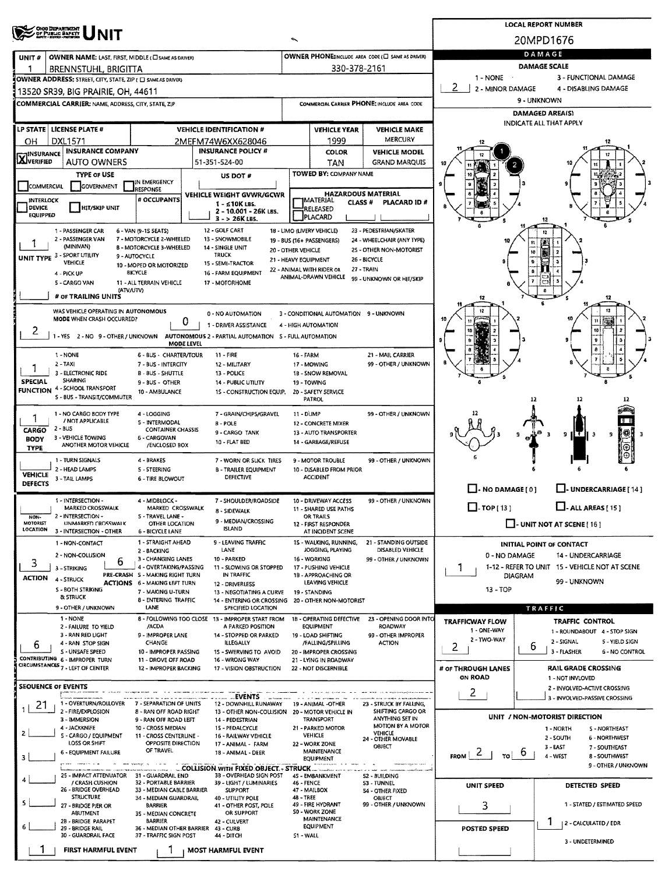|                                  |                                                                               |                                                           | <b>LOCAL REPORT NUMBER</b>                                                               |                                                   |                                                               |                                                            |                                                        |                                                              |  |  |  |
|----------------------------------|-------------------------------------------------------------------------------|-----------------------------------------------------------|------------------------------------------------------------------------------------------|---------------------------------------------------|---------------------------------------------------------------|------------------------------------------------------------|--------------------------------------------------------|--------------------------------------------------------------|--|--|--|
|                                  | <b>OHIO DEPARTMENT</b><br>OF PUBLIC BAFFY                                     |                                                           | 20MPD1676                                                                                |                                                   |                                                               |                                                            |                                                        |                                                              |  |  |  |
| UNIT#                            | OWNER NAME: LAST, FIRST, MIDDLE (C) SAME AS DRIVER)                           |                                                           |                                                                                          | OWNER PHONE:INCLUDE AREA CODE (E) SAME AS DRIVERY | DAMAGE                                                        |                                                            |                                                        |                                                              |  |  |  |
|                                  | BRENNSTUHL, BRIGITTA                                                          |                                                           |                                                                                          | 330-378-2161                                      |                                                               | <b>DAMAGE SCALE</b>                                        |                                                        |                                                              |  |  |  |
|                                  | OWNER ADDRESS: STREET, CITY, STATE, ZIP ( E SAME AS DRIVER)                   |                                                           |                                                                                          |                                                   |                                                               |                                                            | $1 - NONE$<br>2<br>2 - MINOR DAMAGE                    | 3 - FUNCTIONAL DAMAGE<br>4 - DISABLING DAMAGE                |  |  |  |
|                                  | 13520 SR39, BIG PRAIRIE, OH, 44611                                            |                                                           |                                                                                          |                                                   |                                                               |                                                            |                                                        | 9 - UNKNOWN                                                  |  |  |  |
|                                  | COMMERCIAL CARRIER: NAME, ADDRESS, CITY, STATE, ZIP                           |                                                           |                                                                                          |                                                   |                                                               | COMMERCIAL CARRIER PHONE: INCLUDE AREA CODE                |                                                        | <b>DAMAGED AREAIS)</b>                                       |  |  |  |
|                                  |                                                                               |                                                           |                                                                                          |                                                   |                                                               |                                                            |                                                        | <b>INDICATE ALL THAT APPLY</b>                               |  |  |  |
|                                  | LP STATE   LICENSE PLATE #                                                    |                                                           | <b>VEHICLE IDENTIFICATION #</b>                                                          |                                                   | <b>VEHICLE YEAR</b>                                           | <b>VEHICLE MAKE</b><br>MERCURY                             |                                                        |                                                              |  |  |  |
| OН<br><b>HINSURANCE</b>          | <b>DXL1571</b><br><b>INSURANCE COMPANY</b>                                    |                                                           | 2MEFM74W6XX628046<br><b>INSURANCE POLICY #</b>                                           |                                                   | 1999<br><b>COLOR</b>                                          | <b>VEHICLE MODEL</b>                                       |                                                        | 12                                                           |  |  |  |
| <b>AJVERIFIED</b>                | <b>AUTO OWNERS</b>                                                            |                                                           | 51-351-524-00                                                                            |                                                   | TAN                                                           | <b>GRAND MARQUIS</b>                                       |                                                        |                                                              |  |  |  |
|                                  | <b>TYPE OF USE</b>                                                            |                                                           | US DOT #                                                                                 |                                                   | TOWED BY: COMPANY NAME                                        |                                                            |                                                        |                                                              |  |  |  |
| COMMERCIAL                       | GOVERNMENT                                                                    | IN EMERGENCY<br><b>JRESPONSE</b>                          |                                                                                          |                                                   |                                                               |                                                            |                                                        |                                                              |  |  |  |
| <b>INTERLOCK</b>                 |                                                                               | # OCCUPANTS                                               | <b>VEHICLE WEIGHT GVWR/GCWR</b><br>1 - ≤10K LBS.                                         |                                                   | <b>IMATERIAL</b><br>CLASS <sup>#</sup>                        | <b>HAZARDOUS MATERIAL</b><br>PLACARD ID#                   |                                                        |                                                              |  |  |  |
| <b>DEVICE</b><br><b>EQUIPPED</b> | <b>HIT/SKIP UNIT</b>                                                          |                                                           | 2 - 10.001 - 26K LBS.<br>$3 - 26K$ LBS.                                                  |                                                   | RELEASED<br>PLACARD                                           |                                                            |                                                        |                                                              |  |  |  |
|                                  | 1 - PASSENGER CAR                                                             | 6 - VAN (9-15 SEATS)                                      | 12 - GOLF CART                                                                           | 18 - LIMO (LIVERY VEHICLE)                        |                                                               | 23 - PEDESTRIAN/SKATER                                     |                                                        | 12                                                           |  |  |  |
|                                  | 2 - PASSENGER VAN                                                             | 7 - MOTORCYCLE 2-WHEELED                                  | 13 - SNOWMOBILE                                                                          | 19 - BUS (16+ PASSENGERS)                         |                                                               | 24 - WHEELCHAIR (ANY TYPE)                                 |                                                        | n                                                            |  |  |  |
|                                  | (MINIVAN)<br>UNIT TYPE 3 - SPORT UTILITY                                      | <b>B - MOTORCYCLE 3-WHEELED</b><br>9 - AUTOCYCLE          | 14 - SINGLE UNIT<br><b>TRUCK</b>                                                         | 20 - OTHER VEHICLE                                |                                                               | 25 - OTHER NON-MOTORIST                                    |                                                        | Ġ,<br>10                                                     |  |  |  |
|                                  | VEHICLE                                                                       | 10 - MOPED OR MOTORIZED                                   | 15 - SEMI-TRACTOR                                                                        | 21 - HEAVY EQUIPMENT<br>22 - ANIMAL WITH RIDER OR |                                                               | 26 - BICYCLE<br>27 - TRAIN                                 |                                                        | e                                                            |  |  |  |
|                                  | 4 - PICK UP<br>5 - CARGO VAN                                                  | <b>BICYCLE</b><br>11 - ALL TERRAIN VEHICLE                | 16 - FARM EQUIPMENT<br>17 - MOTORHOME                                                    |                                                   | ANIMAL-DRAWN VEHICLE                                          | 99 - UNKNOWN OR HIT/SKIP                                   |                                                        |                                                              |  |  |  |
|                                  | (ATV/UTV)<br># OF TRAILING UNITS                                              |                                                           |                                                                                          |                                                   |                                                               |                                                            | 12                                                     |                                                              |  |  |  |
|                                  | WAS VEHICLE OPERATING IN AUTONOMOUS                                           |                                                           |                                                                                          |                                                   |                                                               |                                                            |                                                        |                                                              |  |  |  |
|                                  | <b>MODE WHEN CRASH OCCURRED?</b>                                              |                                                           | 0 - NO AUTOMATION<br>U<br>1 - DRIVER ASSISTANCE                                          |                                                   | 3 - CONDITIONAL AUTOMATION 9 - UNKNOWN<br>4 - HIGH AUTOMATION |                                                            |                                                        |                                                              |  |  |  |
| ∠                                |                                                                               |                                                           | 1 - YES 2 - NO 9 - OTHER / UNKNOWN AUTONOMOUS 2 - PARTIAL AUTOMATION 5 - FULL AUTOMATION |                                                   |                                                               |                                                            |                                                        | 10                                                           |  |  |  |
|                                  |                                                                               |                                                           | MODE LEVEL                                                                               |                                                   |                                                               |                                                            |                                                        |                                                              |  |  |  |
|                                  | 1 - NONE                                                                      | 6 - BUS - CHARTER/TOUR                                    | 11 - FIRE                                                                                | 16 - FARM                                         |                                                               | 21 - MAIL CARRIER<br>99 - OTHER / UNKNOWN                  |                                                        |                                                              |  |  |  |
|                                  | $2 - TAX$<br>3 - ELECTRONIC RIDE                                              | 7 - BUS - INTERCITY<br>B - BUS - SHUTTLE                  | 12 - MILITARY<br>13 - POLICE                                                             |                                                   | 17 - MOWING<br>1B - SNOW REMOVAL                              |                                                            |                                                        |                                                              |  |  |  |
| <b>SPECIAL</b>                   | SHARING<br><b>FUNCTION 4 - SCHOOL TRANSPORT</b>                               | $9 - 8US - O$ THER                                        | <b>14 - PUBLIC UTILITY</b>                                                               |                                                   | 19 - TOWING                                                   |                                                            |                                                        |                                                              |  |  |  |
|                                  | S - BUS - TRANSIT/COMMUTER                                                    | 10 - AMBULANCE                                            | 15 - CONSTRUCTION EQUIP.                                                                 |                                                   | 20 - SAFETY SERVICE<br>PATROL                                 |                                                            |                                                        | 12<br>12                                                     |  |  |  |
|                                  | 1 - NO CARGO BODY TYPE                                                        | 4 - LOGGING                                               | 7 - GRAIN/CHIPS/GRAVEL                                                                   | 11 - DUMP                                         |                                                               | 99 - OTHER / UNKNOWN                                       |                                                        |                                                              |  |  |  |
| 1<br>CARGO                       | / NOT APPLICABLE<br>$2 - BUS$                                                 | 5 - INTERMODAL<br><b>CONTAINER CHASSIS</b>                | $B - POLE$                                                                               |                                                   | 12 - CONCRETE MIXER                                           |                                                            |                                                        |                                                              |  |  |  |
| <b>BODY</b>                      | 3 - VEHICLE TOWING                                                            | <b>6 - CARGOVAN</b>                                       | 9-CARGO TANK<br>10 - FLAT BED                                                            |                                                   | 13 - AUTO TRANSPORTER<br>14 - GARBAGE/REFUSE                  |                                                            |                                                        | - 3<br>9<br>9                                                |  |  |  |
| <b>TYPE</b>                      | ANOTHER MOTOR VEHICLE                                                         | /ENCLOSED BOX                                             |                                                                                          |                                                   |                                                               |                                                            |                                                        |                                                              |  |  |  |
|                                  | 1 - TURN SIGNALS<br>2 - HEAD LAMPS                                            | 4 - BRAKES<br>S - STEERING                                | 7 - WORN OR SLICK TIRES<br><b>B - TRAILER EQUIPMENT</b>                                  |                                                   | 9 - MOTOR TROUBLE<br>10 - DISABLED FROM PRIOR                 | 99 - OTHER / UNKNOWN                                       |                                                        |                                                              |  |  |  |
| <b>VEHICLE</b><br><b>DEFECTS</b> | 3 - TAIL LAMPS                                                                | <b>6 - TIRE BLOWOUT</b>                                   | DEFECTIVE                                                                                |                                                   | <b>ACCIDENT</b>                                               |                                                            |                                                        |                                                              |  |  |  |
|                                  |                                                                               |                                                           |                                                                                          |                                                   |                                                               |                                                            | $\Box$ - NO DAMAGE [ 0 ]                               | LI-UNDERCARRIAGE [14]                                        |  |  |  |
|                                  | 1 - INTERSECTION -<br>MARKED CROSSWALK                                        | 4 - MIDBLOCK -<br>MARKED CROSSWALK                        | 7 - SHOULDER/ROADSIDE                                                                    |                                                   | 10 - DRIVEWAY ACCESS<br>11 - SHARED USE PATHS                 | 99 - OTHER / UNKNOWN                                       | $\Box$ -TOP(13)                                        | $\Box$ - ALL AREAS [ 15 ]                                    |  |  |  |
| NON-<br>MOTORIST                 | 2 - INTERSECTION -                                                            | 5 - TRAVEL LANE -                                         | 8 - SIDEWALK<br>9 - MEDIAN/CROSSING                                                      |                                                   | OR TRAILS                                                     |                                                            |                                                        |                                                              |  |  |  |
| <b>LOCATION</b>                  | UNMARKED CROSSWALK<br>3 - INTERSECTION - OTHER                                | OTHER LOCATION<br><b>6 - BICYCLE LANE</b>                 | <b>ISLAND</b>                                                                            |                                                   | 12 - FIRST RESPONDER<br>AT INCIDENT SCENE                     |                                                            |                                                        | - UNIT NOT AT SCENE [ 16 ]                                   |  |  |  |
|                                  | 1 - NON-CONTACT                                                               | 1 - STRAIGHT AHEAD                                        | 9 - LEAVING TRAFFIC                                                                      |                                                   | 15 - WALKING, RUNNING,                                        | 21 - STANDING OUTSIDE                                      |                                                        | <b>INITIAL POINT OF CONTACT</b>                              |  |  |  |
|                                  | 2 - NON-COLLISION<br>6                                                        | 2 - BACKING<br>3 - CHANGING LANES                         | LANE<br>10 - PARKED                                                                      |                                                   | JOGGING, PLAYING<br>16 - WORKING                              | DISABLED VEHICLE<br>99 - OTHER / UNKNOWN                   | 0 - NO DAMAGE                                          | <b>14 - UNDERCARRIAGE</b>                                    |  |  |  |
| 3                                | 3 - STRIKING                                                                  | 4 - OVERTAKING/PASSING<br>PRE-CRASH S - MAKING RIGHT TURN | 11 - SLOWING OR STOPPED<br>IN TRAFFIC                                                    |                                                   | 17 - PUSHING VEHICLE<br>1B - APPROACHING OR                   |                                                            |                                                        | 1-12 - REFER TO UNIT 15 - VEHICLE NOT AT SCENE<br>DIAGRAM    |  |  |  |
| <b>ACTION</b>                    | 4 - STRUCK                                                                    | <b>ACTIONS</b> 6 - MAKING LEFT TURN                       | 12 - DRIVERLESS                                                                          |                                                   | LEAVING VEHICLE                                               |                                                            |                                                        | 99 - UNKNOWN                                                 |  |  |  |
|                                  | S - BOTH STRIKING<br>& STRUCK                                                 | 7 - MAKING U-TURN<br><b>8 - ENTERING TRAFFIC</b>          | 13 - NEGOTIATING A CURVE<br>14 - ENTERING OR CROSSING                                    |                                                   | 19 - STANDING<br>20 - OTHER NON-MOTORIST                      |                                                            | 13 - TOP                                               |                                                              |  |  |  |
|                                  | 9 - OTHER / UNKNOWN                                                           | LANE                                                      | SPECIFIED LOCATION                                                                       |                                                   |                                                               |                                                            |                                                        | TRAFFIC                                                      |  |  |  |
|                                  | 1 - NONE<br>2 - FAILURE TO YIELD                                              | /ACDA                                                     | 8 - FOLLOWING TOO CLOSE 13 - IMPROPER START FROM<br>A PARKED POSITION                    |                                                   | <b>EQUIPMENT</b>                                              | 18 - OPERATING DEFECTIVE 23 - OPENING DOOR INTO<br>ROADWAY | <b>TRAFFICWAY FLOW</b>                                 | <b>TRAFFIC CONTROL</b>                                       |  |  |  |
|                                  | 3 - RAN RED LIGHT                                                             | 9 - IMPROPER LANE                                         | 14 - STOPPED OR PARKED                                                                   |                                                   | 19 - LOAD SHIFTING                                            | 99 - OTHER IMPROPER                                        | 1 - ONE-WAY<br>2 - IWO-WAY                             | 1 - ROUNDABOUT 4 - STOP SIGN<br>2 - SIGNAL<br>5 - YIELD SIGN |  |  |  |
| 6                                | 4 - RAN STOP SIGN<br>S - UNSAFE SPEED                                         | CHANGE<br>10 - IMPROPER PASSING                           | ILLEGALLY<br>15 - SWERVING TO AVOID                                                      |                                                   | /FALLING/SPILLING<br>20 - IMPROPER CROSSING                   | <b>ACTION</b>                                              | 2                                                      | 6<br>3 - FLASHER<br><b>6 - NO CONTROL</b>                    |  |  |  |
|                                  | CONTRIBUTING 6 - IMPROPER TURN<br>CIRCUMSTANCES <sub>7</sub> - LEFT OF CENTER | 11 - DROVE OFF ROAD                                       | 16 - WRONG WAY                                                                           |                                                   | 21 - LYING IN ROADWAY                                         |                                                            |                                                        |                                                              |  |  |  |
|                                  |                                                                               | 12 - IMPROPER BACKING                                     | 17 - VISION OBSTRUCTION                                                                  |                                                   | 22 - NOT DISCERNIBLE                                          |                                                            | # OF THROUGH LANES<br>ON ROAD                          | RAIL GRADE CROSSING<br>1 - NOT INVLOVED                      |  |  |  |
|                                  | <b>SEQUENCE OF EVENTS</b>                                                     |                                                           |                                                                                          |                                                   |                                                               |                                                            | 2                                                      | 2 - INVOLVED-ACTIVE CROSSING                                 |  |  |  |
| 21                               | 1 - OVERTURN/ROLLOVER                                                         | 7 - SEPARATION OF UNITS                                   | <b>EVENTS</b><br>12 - DOWNHILL RUNAWAY                                                   |                                                   | 19 - ANIMAL -OTHER                                            | 23 - STRUCK BY FALLING,                                    |                                                        | 3 - INVOLVED-PASSIVE CROSSING                                |  |  |  |
|                                  | 2 - FIRE/EXPLOSION<br>3 - IMMERSION                                           | 8 - RAN OFF ROAD RIGHT<br>9 - RAN OFF ROAD LEFT           | 13 - OTHER NON-COLLISION 20 - MOTOR VEHICLE IN<br>14 - PEDESTRIAN                        |                                                   | TRANSPORT                                                     | SHIFTING CARGO OR<br>ANYTHING SET IN                       |                                                        | UNIT / NON-MOTORIST DIRECTION                                |  |  |  |
|                                  | 4 - JACKKNIFE                                                                 | 10 - CROSS MEDIAN                                         | 15 - PEDALCYCLE                                                                          |                                                   | 21 - PARKED MOTOR                                             | MOTION BY A MOTOR<br>VEHICLE                               |                                                        | S - NORTHEAST<br>1 - NORTH                                   |  |  |  |
|                                  | S - CARGO / EQUIPMENT<br>LOSS OR SHIFT                                        | 11 - CROSS CENTERUNE -<br>OPPOSITE DIRECTION              | 16 - RAILWAY VEHICLE<br>17 - ANIMAL - FARM                                               |                                                   | <b>VEHICLE</b><br>22 - WORK ZONE                              | 24 - OTHER MOVABLE<br>OBJECT                               |                                                        | 2 - SOUTH<br><b>6 - NORTHWEST</b><br>$3 - EAST$              |  |  |  |
| 3                                | <b>6 - EQUIPMENT FAILURE</b>                                                  | OF TRAVEL                                                 | 18 - ANIMAL - DEER                                                                       |                                                   | <b>MAINTENANCE</b><br><b>EQUIPMENT</b>                        |                                                            | FROM $\begin{bmatrix} 2 & 1 \end{bmatrix}$<br>$\tau$ 0 | 7 - SOUTHEAST<br>4 - WEST<br>8 - SOUTHWEST                   |  |  |  |
|                                  |                                                                               |                                                           | COLLISION WITH FIXED OBJECT. - STRUCK.                                                   |                                                   |                                                               |                                                            |                                                        | 9 - OTHER / UNKNOWN                                          |  |  |  |
|                                  | 25 - IMPACT ATTENUATOR<br>/ CRASH CUSHION                                     | 31 - GUARDRAIL END<br>32 - PORTABLE BARRIER               | 3B - OVERHEAD SIGN POST<br>39 - LIGHT / LUMINARIES                                       | 46 - FENCE                                        | 45 - EMBANKMENT                                               | 52 - BUILDING<br>53 - TUNNEL                               | UNIT SPEED                                             | DETECTED SPEED                                               |  |  |  |
|                                  | 26 - BRIDGE OVERHEAD<br><b>STRUCTURE</b>                                      | 33 - MEDIAN CABLE BARRIER<br>34 - MEDIAN GUARDRAIL        | <b>SUPPORT</b><br>40 - UTILITY POLE                                                      | 48 - TREE                                         | 47 - MAILBOX                                                  | 54 - OTHER FIXED<br>OBJECT                                 |                                                        |                                                              |  |  |  |
|                                  | 27 - BRIDGE PIER OR                                                           | <b>BARRIER</b>                                            | 41 - OTHER POST, POLE                                                                    |                                                   | 49 - FIRE HYDRANT<br><b>S0 - WORK ZONE</b>                    | 99 - OTHER / UNKNOWN                                       | 3                                                      | 1 - STATED / ESTIMATED SPEED                                 |  |  |  |
|                                  | ABUTMENT<br>28 - BRIDGE PARAPET                                               | 35 - MEDIAN CONCRETE<br><b>BARRIER</b>                    | OR SUPPORT<br>42 - CULVERT                                                               |                                                   | MAINTENANCE                                                   |                                                            |                                                        | 1<br>  2 - CALCULATED / EDR                                  |  |  |  |
|                                  | 29 - BRIDGE RAIL<br>30 - GUARDRAIL FACE                                       | 36 - MEDIAN OTHER BARRIER<br>37 - TRAFFIC SIGN POST       | 43 - CURB<br>44 - DITCH                                                                  | 51 - WALL                                         | <b>EQUIPMENT</b>                                              |                                                            | POSTED SPEED                                           |                                                              |  |  |  |
|                                  | FIRST HARMFUL EVENT                                                           |                                                           | <b>MOST HARMFUL EVENT</b>                                                                |                                                   |                                                               |                                                            |                                                        | 3 - UNDETERMINED                                             |  |  |  |
|                                  |                                                                               |                                                           |                                                                                          |                                                   |                                                               |                                                            |                                                        |                                                              |  |  |  |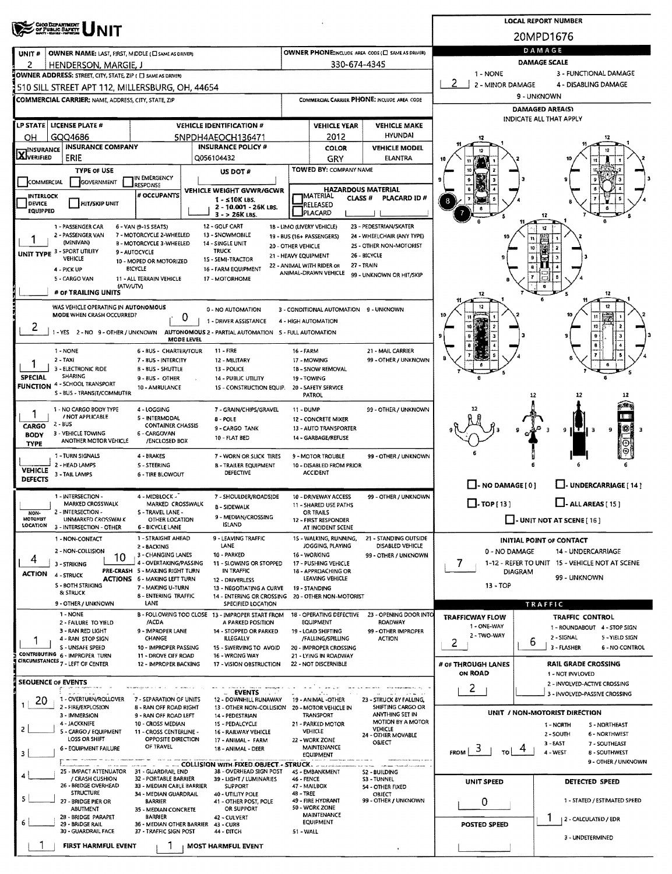|                                  |                                                                    |                                                           |                                                                                                        |                                            |                                                    |                                                       | <b>LOCAL REPORT NUMBER</b>            |                                                                  |  |  |  |  |  |
|----------------------------------|--------------------------------------------------------------------|-----------------------------------------------------------|--------------------------------------------------------------------------------------------------------|--------------------------------------------|----------------------------------------------------|-------------------------------------------------------|---------------------------------------|------------------------------------------------------------------|--|--|--|--|--|
|                                  | ORG DEPARTMENT<br>OF PUBLIC SAFETY                                 |                                                           |                                                                                                        |                                            |                                                    |                                                       | 20MPD1676                             |                                                                  |  |  |  |  |  |
| UNIT#                            | OWNER NAME: LAST, FIRST, MIDDLE (C) SAME AS DRIVER)                |                                                           |                                                                                                        |                                            |                                                    | OWNER PHONE:INCLUDE AREA CODE (E) SAME AS DRIVER)     | DAMAGE                                |                                                                  |  |  |  |  |  |
| 2                                | HENDERSON, MARGIE, J                                               |                                                           |                                                                                                        |                                            | 330-674-4345                                       |                                                       | <b>DAMAGE SCALE</b>                   |                                                                  |  |  |  |  |  |
|                                  | OWNER ADDRESS: STREET, CITY, STATE, ZIP ( [ ] SAME AS DRIVER)      |                                                           |                                                                                                        |                                            |                                                    |                                                       | 1 - NONE<br>2<br>2 - MINOR DAMAGE     | 3 - FUNCTIONAL DAMAGE<br>4 - DISABLING DAMAGE                    |  |  |  |  |  |
|                                  | 510 SILL STREET APT 112, MILLERSBURG, OH, 44654                    |                                                           |                                                                                                        |                                            |                                                    |                                                       |                                       | 9 - UNKNOWN                                                      |  |  |  |  |  |
|                                  | <b>COMMERCIAL CARRIER: NAME, ADDRESS, CITY, STATE, ZIP</b>         |                                                           |                                                                                                        |                                            |                                                    | COMMERCIAL CARRIER PHONE: INCLUDE AREA CODE           |                                       | <b>DAMAGED AREA(S)</b>                                           |  |  |  |  |  |
|                                  | LP STATE   LICENSE PLATE #                                         |                                                           | <b>VEHICLE IDENTIFICATION #</b>                                                                        | <b>VEHICLE YEAR</b><br><b>VEHICLE MAKE</b> |                                                    |                                                       | INDICATE ALL THAT APPLY               |                                                                  |  |  |  |  |  |
| OН                               | GQQ4686                                                            |                                                           | 5NPDH4AEOCH136471                                                                                      |                                            | 2012                                               | <b>HYUNDAI</b>                                        | 12                                    |                                                                  |  |  |  |  |  |
| <b>INSURANCE</b>                 | <b>INSURANCE COMPANY</b>                                           |                                                           | <b>INSURANCE POLICY #</b>                                                                              |                                            | <b>COLOR</b>                                       | <b>VEHICLE MODEL</b>                                  |                                       |                                                                  |  |  |  |  |  |
| <b>LAJVERIFIED</b>               | ERIE                                                               |                                                           | Q056104432                                                                                             |                                            | GRY                                                | <b>ELANTRA</b>                                        |                                       |                                                                  |  |  |  |  |  |
|                                  | <b>TYPE OF USE</b>                                                 | IN EMERGENCY                                              | US DOT #                                                                                               |                                            | TOWED BY: COMPANY NAME                             |                                                       |                                       |                                                                  |  |  |  |  |  |
| <b>COMMERCIAL</b>                | GOVERNMENT                                                         | RESPONSE                                                  | VEHICLE WEIGHT GVWR/GCWR                                                                               |                                            |                                                    | <b>HAZARDOUS MATERIAL</b>                             |                                       |                                                                  |  |  |  |  |  |
| <b>INTERLOCK</b><br>DEVICE       | <b>HIT/SKIP UNIT</b>                                               | # OCCUPANTS                                               | $1 - 510K$ LBS.<br>2 - 10.001 - 26K LBS.                                                               |                                            | <b>IMATERIAL</b><br>CLASS <sub>#</sub><br>RELEASED | PLACARD ID #                                          |                                       |                                                                  |  |  |  |  |  |
| <b>EQUIPPED</b>                  |                                                                    |                                                           | $3 - 26K$ LBS.                                                                                         |                                            | PLACARD                                            |                                                       |                                       | 12                                                               |  |  |  |  |  |
|                                  | 1 - PASSENGER CAR<br>2 - PASSENGER VAN                             | 6 - VAN (9-15 SEATS)<br>7 - MOTORCYCLE 2-WHEELED          | 12 - GOLF CART<br>13 - SNOWMOBILE                                                                      |                                            | 1B - LIMO (LIVERY VEHICLE)                         | 23 - PEDESTRIAN/SKATER                                |                                       |                                                                  |  |  |  |  |  |
|                                  | (MINIVAN)                                                          | <b>B - MOTORCYCLE 3-WHEELED</b>                           | 14 - SINGLE UNIT                                                                                       | 20 - OTHER VEHICLE                         | 19 - BUS (16+ PASSENGERS)                          | 24 - WHEELCHAIR (ANY TYPE)<br>25 - OTHER NON-MOTORIST |                                       |                                                                  |  |  |  |  |  |
|                                  | UNIT TYPE 3 - SPORT UTILITY<br>VEHICLE                             | 9 - AUTOCYCLE<br>10 - MOPED OR MOTORIZED                  | <b>TRUCK</b><br>15 - SEMI-TRACTOR                                                                      | 21 - HEAVY EQUIPMENT                       |                                                    | 26 - BICYCLE                                          |                                       |                                                                  |  |  |  |  |  |
|                                  | 4 - PICK UP                                                        | <b>BICYCLE</b>                                            | 16 - FARM EQUIPMENT                                                                                    |                                            | 22 - ANIMAL WITH RIDER OR<br>ANIMAL-DRAWN VEHICLE  | 27 - TRAIN<br>99 - UNKNOWN OR HIT/SKIP                |                                       |                                                                  |  |  |  |  |  |
|                                  | 5 - CARGO VAN<br>(ATV/UTV)                                         | 11 - ALL TERRAIN VEHICLE                                  | 17 - MOTORHOME                                                                                         |                                            |                                                    |                                                       |                                       |                                                                  |  |  |  |  |  |
|                                  | # OF TRAILING UNITS                                                |                                                           |                                                                                                        |                                            |                                                    |                                                       | 12                                    | 12                                                               |  |  |  |  |  |
|                                  | WAS VEHICLE OPERATING IN AUTONOMOUS<br>MODE WHEN CRASH OCCURRED?   |                                                           | 0 - NO AUTOMATION                                                                                      |                                            | 3 - CONDITIONAL AUTOMATION 9 - UNKNOWN             |                                                       |                                       |                                                                  |  |  |  |  |  |
| ۷                                |                                                                    |                                                           | 0<br>1 - DRIVER ASSISTANCE                                                                             |                                            | 4 - HIGH AUTOMATION                                |                                                       |                                       | 10                                                               |  |  |  |  |  |
|                                  |                                                                    |                                                           | 1 - YES 2 - NO 9 - OTHER / UNKNOWN AUTONOMOUS 2 - PARTIAL AUTOMATION 5 - FULL AUTOMATION<br>MODE LEVEL |                                            |                                                    |                                                       |                                       |                                                                  |  |  |  |  |  |
|                                  | 1 - NONE                                                           | 6 - BUS - CHARTER/TOUR                                    | $11 - FIRE$                                                                                            | 16 - FARM                                  |                                                    | 21 - MAIL CARRIER                                     |                                       |                                                                  |  |  |  |  |  |
|                                  | $2 - TAX$<br>3 - ELECTRONIC RIDE                                   | 7 - BUS - INTERCITY<br>B - BUS - SHUTTLE                  | 12 - MILITARY<br>13 - POLICE                                                                           |                                            | 17 - MOWING<br>18 - SNOW REMOVAL                   | 99 - OTHER / UNKNOWN                                  |                                       |                                                                  |  |  |  |  |  |
| <b>SPECIAL</b>                   | <b>SHARING</b>                                                     | 9 - BUS - OTHER                                           | 14 - PUBLIC UTILITY                                                                                    |                                            | 19 - TOWING                                        |                                                       |                                       |                                                                  |  |  |  |  |  |
|                                  | <b>FUNCTION 4 - SCHOOL TRANSPORT</b><br>S - BUS - TRANSIT/COMMUTER | 10 - AMBULANCE                                            | 15 - CONSTRUCTION EQUIP.                                                                               |                                            | 20 - SAFETY SERVICE<br>PATROL                      |                                                       |                                       |                                                                  |  |  |  |  |  |
|                                  | 1 - NO CARGO BODY TYPE                                             | 4-LOGGING                                                 | 7 - GRAIN/CHIPS/GRAVEL                                                                                 | 11 - DUMP                                  |                                                    | 99 - OTHER / UNKNOWN                                  |                                       |                                                                  |  |  |  |  |  |
|                                  | / NOT APPLICABLE<br>2 BUS                                          | 5 - INTERMODAL                                            | <b>B-POLE</b>                                                                                          |                                            | 12 - CONCRETE MIXER                                |                                                       |                                       |                                                                  |  |  |  |  |  |
| CARGO<br><b>BODY</b>             | 3 - VEHICLE TOWING                                                 | <b>CONTAINER CHASSIS</b><br>6 - CARGOVAN                  | 9 - CARGO TANK<br>10 - FLAT BED                                                                        |                                            | 13 - AUTO TRANSPORTER<br>14 - GARBAGE/REFUSE       |                                                       |                                       | 茶目<br>9<br>9<br>IЗ                                               |  |  |  |  |  |
| TYPE                             | ANOTHER MOTOR VEHICLE                                              | /ENCLOSED BOX                                             |                                                                                                        |                                            |                                                    |                                                       |                                       |                                                                  |  |  |  |  |  |
|                                  | 1 - TURN SIGNALS<br>2 - HEAD LAMPS                                 | 4 - BRAKES<br>5 - STEERING                                | 7 - WORN OR SLICK TIRES<br><b>B - TRAILER EQUIPMENT</b>                                                |                                            | 9 - MOTOR TROUBLE<br>10 - DISABLED FROM PRIOR      | 99 - OTHER / UNKNOWN                                  |                                       |                                                                  |  |  |  |  |  |
| <b>VEHICLE</b><br><b>DEFECTS</b> | 3 - TAIL LAMPS                                                     | <b>6 - TIRE BLOWOUT</b>                                   | DEFECTIVE                                                                                              |                                            | <b>ACCIDENT</b>                                    |                                                       |                                       |                                                                  |  |  |  |  |  |
|                                  |                                                                    |                                                           |                                                                                                        |                                            |                                                    |                                                       | $\Box$ - NO DAMAGE [ 0 ]              | $\Box$ - UNDERCARRIAGE [ 14 ]                                    |  |  |  |  |  |
|                                  | 1 - INTERSECTION -<br>MARKED CROSSWALK                             | 4 - MIDBLOCK -<br>MARKED CROSSWALK                        | 7 - SHOULDER/ROADSIDE<br><b>B - SIDEWALK</b>                                                           |                                            | 10 - DRIVEWAY ACCESS<br>11 - SHARED USE PATHS      | 99 - OTHER / UNKNOWN                                  | $\Box$ - TOP [ 13 ]                   | $\Box$ - ALL AREAS [ 15 ]                                        |  |  |  |  |  |
| NON-<br><b>MOTORIST</b>          | 2 - INTERSECTION -<br>UNMARKED CROSSWALK                           | S-TRAVEL LANE -<br>OTHER LOCATION                         | 9 - MEDIAN/CROSSING                                                                                    |                                            | OR TRAILS<br>12 - FIRST RESPONDER                  |                                                       |                                       | $\Box$ - UNIT NOT AT SCENE [16]                                  |  |  |  |  |  |
| <b>LOCATION</b>                  | 3 - INTERSECTION - OTHER                                           | 6 - BICYCLE LANE                                          | <b>ISLAND</b>                                                                                          |                                            | AT INCIDENT SCENE                                  |                                                       |                                       |                                                                  |  |  |  |  |  |
|                                  | 1 - NON-CONTACT                                                    | 1 - STRAIGHT AHEAD<br>2 - BACKING                         | 9 - LEAVING TRAFFIC<br>LANE                                                                            |                                            | 15 - WALKING, RUNNING,<br>JOGGING, PLAYING         | 21 - STANDING OUTSIDE<br>DISABLED VEHICLE             |                                       | <b>INITIAL POINT OF CONTACT</b>                                  |  |  |  |  |  |
| 4                                | 2 - NON-COLLISION<br>10                                            | 3 - CHANGING LANES                                        | 10 - PARKED                                                                                            |                                            | 16 - WORKING                                       | 99 - OTHER / UNKNOWN                                  | 0 - NO DAMAGE                         | 14 - UNDERCARRIAGE                                               |  |  |  |  |  |
| <b>ACTION</b>                    | 3 - STRIKING                                                       | 4 - OVERTAKING/PASSING<br>PRE-CRASH 5 - MAXING RIGHT TURN | 11 - SLOWING OR STOPPED<br>IN TRAFFIC                                                                  |                                            | 17 - PUSHING VEHICLE<br>16 - APPROACHING OR        |                                                       | 7                                     | 1-12 - REFER TO UNIT 15 - VEHICLE NOT AT SCENE<br>DIAGRAM        |  |  |  |  |  |
|                                  | 4 - STRUCK<br>S - BOTH STRIKING                                    | <b>ACTIONS 6 - MAKING LEFT TURN</b><br>7 - MAKING U-TURN  | 12 - DRIVERLESS                                                                                        |                                            | LEAVING VEHICLE                                    |                                                       | $13 - TOP$                            | 99 - UNKNOWN                                                     |  |  |  |  |  |
|                                  | <b>&amp; STRUCK</b>                                                | <b>8 - ENTERING TRAFFIC</b>                               | 13 - NEGOTIATING A CURVE<br>14 - ENTERING OR CROSSING 20 - OTHER NON-MOTORIST                          |                                            | 19 - STANDING                                      |                                                       |                                       |                                                                  |  |  |  |  |  |
|                                  | 9 - OTHER / UNKNOWN<br>1 - NONE                                    | LANE                                                      | SPECIFIED LOCATION<br>B - FOLLOWING TOO CLOSE 13 - IMPROPER START FROM                                 |                                            | 18 - OPERATING DEFECTIVE                           | 23 - OPENING DOOR INTO                                |                                       | TRAFFIC                                                          |  |  |  |  |  |
|                                  | 2 - FAILURE TO YIELD                                               | /ACDA                                                     | A PARKED POSITION                                                                                      |                                            | EQUIPMENT                                          | ROADWAY                                               | <b>TRAFFICWAY FLOW</b><br>1 - ONE-WAY | TRAFFIC CONTROL<br>1 - ROUNDABOUT 4 - STOP SIGN                  |  |  |  |  |  |
|                                  | 3 - RAN RED LIGHT<br>4 - RAN STOP SIGN                             | 9 - IMPROPER LANE<br><b>CHANGE</b>                        | 14 - STOPPED OR PARKED<br><b>ILLEGALLY</b>                                                             |                                            | 19 - LOAD SHIFTING<br>/FALLING/SPILLING            | 99 - OTHER IMPROPER<br><b>ACTION</b>                  | 2 - TWO-WAY                           | 2 - SIGNAL<br>5 - YIELD SIGN<br>6                                |  |  |  |  |  |
|                                  | S - UNSAFE SPEED<br>CONTRIBUTING 6 - IMPROPER TURN                 | 10 - IMPROPER PASSING<br>11 - DROVE OFF ROAD              | 15 - SWERVING TO AVOID<br>16 - WRONG WAY                                                               |                                            | 20 - IMPROPER CROSSING<br>21 - LYING IN ROADWAY    |                                                       | 2                                     | 3 - FLASHER<br>6 - NO CONTROL                                    |  |  |  |  |  |
|                                  | CIRCUMSTANCES 7 - LEFT OF CENTER                                   | 12 - IMPROPER BACKING                                     | 17 - VISION OBSTRUCTION                                                                                |                                            | 22 - NOT DISCERNIBLE                               |                                                       | # OF THROUGH LANES                    | <b>RAIL GRADE CROSSING</b>                                       |  |  |  |  |  |
|                                  | <b>SEQUENCE OF EVENTS</b>                                          |                                                           |                                                                                                        |                                            |                                                    |                                                       | ON ROAD                               | 1 - NOT INVLOVED<br>2 - INVOLVED-ACTIVE CROSSING                 |  |  |  |  |  |
|                                  |                                                                    |                                                           | <b>EVENTS</b>                                                                                          |                                            |                                                    |                                                       | 2                                     | 3 - INVOLVED-PASSIVE CROSSING                                    |  |  |  |  |  |
| 20                               | 1 - OVERTURN/ROLLOVER<br>2 - FIRE/EXPLOSION                        | 7 - SEPARATION OF UNITS<br><b>B - RAN OFF ROAD RIGHT</b>  | 12 - DOWNHILL RUNAWAY<br>13 - OTHER NON-COLLISION 20 - MOTOR VEHICLE IN                                |                                            | 19 - ANIMAL -OTHER                                 | 23 - STRUCK BY FALLING.<br>SHIFTING CARGO OR          |                                       |                                                                  |  |  |  |  |  |
|                                  | 3 - IMMERSION<br>4 - JACKKNIFE                                     | 9 - RAN OFF ROAD LEFT<br>10 - CROSS MEDIAN                | 14 - PEDESTRIAN<br>15 - PEDALCYCLE                                                                     |                                            | TRANSPORT<br>21 - PARKED MOTOR                     | ANYTHING SET IN<br>MOTION BY A MOTOR                  |                                       | UNIT / NON-MOTORIST DIRECTION<br>1 - NORTH<br><b>S-NORTHEAST</b> |  |  |  |  |  |
| 2                                | S - CARGO / EQUIPMENT                                              | 11 - CROSS CENTERLINE -                                   | 16 - RAILWAY VEHICLE                                                                                   |                                            | VEHICLE                                            | <b>VEHICLE</b><br>24 - OTHER MOVABLE                  |                                       | 2-SOUTH<br>6 - NORTHWEST                                         |  |  |  |  |  |
|                                  | LOSS OR SHIFT<br>6 - EQUIPMENT FAILURE                             | OPPOSITE DIRECTION<br>OF TRAVEL                           | 17 - ANIMAL - FARM<br>18 - ANIMAL - DEER                                                               |                                            | 22 - WORK ZONE<br><b>MAINTENANCE</b>               | <b>OBJECT</b>                                         | ು<br>FROM<br>TO !                     | $3 - EAST$<br>7 - SOUTHEAST                                      |  |  |  |  |  |
| 3                                |                                                                    |                                                           | COLLISION WITH FIXED OBJECT. - STRUCK.                                                                 |                                            | <b>EQUIPMENT</b>                                   |                                                       |                                       | 4 - WEST<br>8 - SOUTHWEST<br>9 - OTHER / UNKNOWN                 |  |  |  |  |  |
|                                  | 25 - IMPACT ATTENUATOR<br>/ CRASH CUSHION                          | 31 - GUARDRAIL END<br>32 - PORTABLE BARRIER               | 38 - OVERHEAD SIGN POST<br>39 - LIGHT / LUMINARIES                                                     | 46 - FENCE                                 | 45 - EMBANKMENT                                    | <b>S2 - BUILDING</b><br>S3 - TUNNEL                   |                                       |                                                                  |  |  |  |  |  |
|                                  | 26 - BRIDGE OVERHEAD                                               | 33 - MEDIAN CABLE BARRIER                                 | <b>SUPPORT</b>                                                                                         |                                            | 47 - MAILBOX                                       | 54 - OTHER FIXED                                      | UNIT SPEED                            | DETECTED SPEED                                                   |  |  |  |  |  |
|                                  | <b>STRUCTURE</b><br>27 - BRIDGE PIER OR                            | 34 - MEDIAN GUARDRAIL<br><b>BARRIER</b>                   | 40 - UTILITY POLE<br>41 - OTHER POST, POLE                                                             | 4B-TREE                                    | 49 - FIRE HYDRANT                                  | OBJECT<br>99 - OTHER / UNKNOWN                        | 0                                     | 1 - STATED / ESTIMATED SPEED                                     |  |  |  |  |  |
|                                  | <b>ABUTMENT</b><br>2B - BRIDGE PARAPET                             | 35 - MEDIAN CONCRETE<br><b>BARRIER</b>                    | OR SUPPORT<br>42 - CULVERT                                                                             |                                            | 50 - WORK ZONE<br>MAINTENANCE                      |                                                       |                                       | 1                                                                |  |  |  |  |  |
|                                  | 29 - BRIDGE RAIL<br>30 - GUARDRAIL FACE                            | 36 - MEDIAN OTHER BARRIER<br>37 - TRAFFIC SIGN POST       | 43 - CURB<br>44 - DITCH                                                                                | 51 - WALL                                  | <b>EQUIPMENT</b>                                   |                                                       | POSTED SPEED                          | 2 - CALCULATED / EDR                                             |  |  |  |  |  |
|                                  | FIRST HARMFUL EVENT                                                |                                                           |                                                                                                        |                                            |                                                    |                                                       |                                       | 3 - UNDETERMINED                                                 |  |  |  |  |  |
|                                  |                                                                    | T                                                         | <b>MOST HARMFUL EVENT</b>                                                                              |                                            |                                                    |                                                       |                                       |                                                                  |  |  |  |  |  |